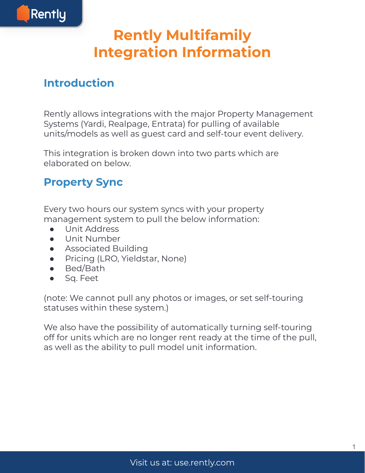

# **Rently Multifamily Integration Information**

#### **Introduction**

Rently allows integrations with the major Property Management Systems (Yardi, Realpage, Entrata) for pulling of available units/models as well as guest card and self-tour event delivery.

This integration is broken down into two parts which are elaborated on below.

#### **Property Sync**

Every two hours our system syncs with your property management system to pull the below information:

- Unit Address
- Unit Number
- Associated Building
- **Pricing (LRO, Yieldstar, None)**
- Bed/Bath
- Sq. Feet

(note: We cannot pull any photos or images, or set self-touring statuses within these system.)

We also have the possibility of automatically turning self-touring off for units which are no longer rent ready at the time of the pull, as well as the ability to pull model unit information.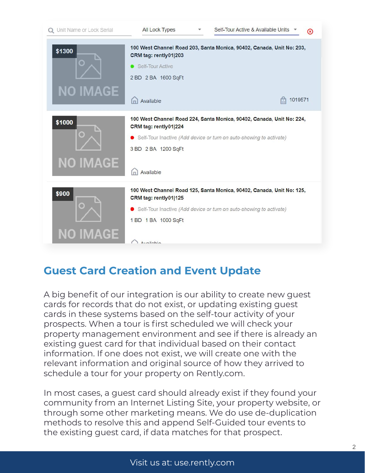

### **Guest Card Creation and Event Update**

A big benefit of our integration is our ability to create new guest cards for records that do not exist, or updating existing guest cards in these systems based on the self-tour activity of your prospects. When a tour is first scheduled we will check your property management environment and see if there is already an existing guest card for that individual based on their contact information. If one does not exist, we will create one with the relevant information and original source of how they arrived to schedule a tour for your property on Rently.com.

In most cases, a guest card should already exist if they found your community from an Internet Listing Site, your property website, or through some other marketing means. We do use de-duplication methods to resolve this and append Self-Guided tour events to the existing guest card, if data matches for that prospect.